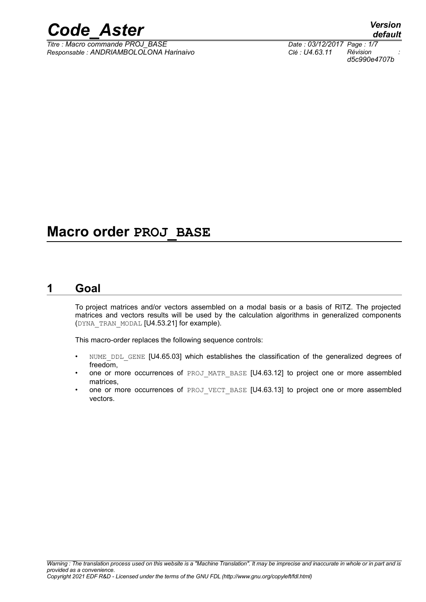*Titre : Macro commande PROJ\_BASE Date : 03/12/2017 Page : 1/7 Responsable : ANDRIAMBOLOLONA Harinaivo Clé : U4.63.11 Révision :*

## **Macro order PROJ\_BASE**

### **1 Goal**

<span id="page-0-0"></span>To project matrices and/or vectors assembled on a modal basis or a basis of RITZ. The projected matrices and vectors results will be used by the calculation algorithms in generalized components (DYNA\_TRAN\_MODAL [U4.53.21] for example).

This macro-order replaces the following sequence controls:

- NUME DDL GENE [U4.65.03] which establishes the classification of the generalized degrees of freedom,
- one or more occurrences of PROJ\_MATR\_BASE [U4.63.12] to project one or more assembled matrices,
- one or more occurrences of PROJ\_VECT\_BASE [U4.63.13] to project one or more assembled vectors.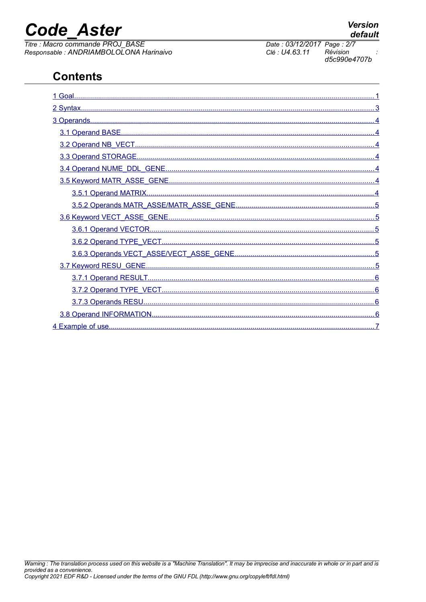## **Code Aster**

Titre : Macro commande PROJ BASE Responsable : ANDRIAMBOLOLONA Harinaivo

## **Contents**

| 4 Example of use | 7 |
|------------------|---|

Date: 03/12/2017 Page: 2/7 Clé : U4.63.11 Révision d5c990e4707b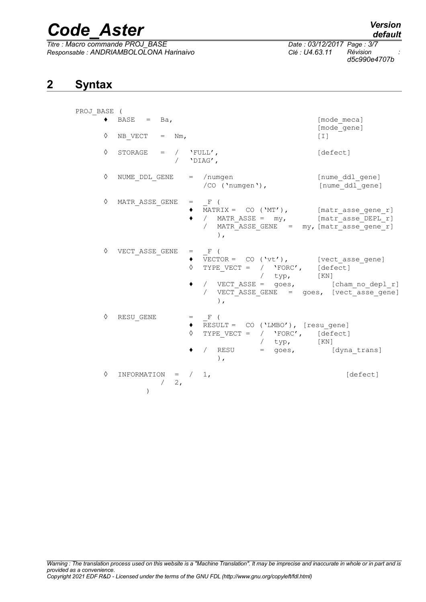*Titre : Macro commande PROJ\_BASE Date : 03/12/2017 Page : 3/7 Responsable : ANDRIAMBOLOLONA Harinaivo Clé : U4.63.11 Révision :*

*d5c990e4707b*

### **2 Syntax**

<span id="page-2-0"></span>

| PROJ BASE ( |                                                        |                                                                                                                                                                                                                                                       |                            |
|-------------|--------------------------------------------------------|-------------------------------------------------------------------------------------------------------------------------------------------------------------------------------------------------------------------------------------------------------|----------------------------|
|             | $\bullet$ BASE = Ba,                                   |                                                                                                                                                                                                                                                       | [mode meca]<br>[mode gene] |
| ♦           | NB VECT $=$ Nm,                                        |                                                                                                                                                                                                                                                       | $[\;1\;]$                  |
| ♦           | STORAGE = $/$ 'FULL',                                  | / $'$ DIAG',                                                                                                                                                                                                                                          | [defect]                   |
| ♦           | NUME DDL GENE                                          | $=$ /numgen<br>/CO ('numgen'), [nume ddl gene]                                                                                                                                                                                                        | [nume ddl gene]            |
| ♦           | MATR ASSE GENE                                         | $=$ $\mathbf{F}$ (<br>◆ MATRIX = CO ('MT'), [matr asse gene r]<br>/ MATR_ASSE = my, [matr_asse_DEPL_r]<br>$\bullet$<br>/ MATR_ASSE_GENE = my, [matr_asse_gene_r]<br>$\lambda$ .                                                                       |                            |
| ♦           | VECT ASSE GENE                                         | $=$ F (<br>$\overline{V}$ $\overline{V}$ ECTOR = CO ('vt'), [vect_asse_gene]<br>$\Diamond$<br>TYPE VECT = $/$ 'FORC', [defect]<br>$/$ typ, $[KN]$<br>/ VECT_ASSE = goes, [cham_no_depl_r]<br>٠<br>/ VECT ASSE GENE = goes, [vect asse gene]<br>$\,$ , |                            |
| ♦           | RESU GENE                                              | $=$ $\mathbb{F}$ (<br>RESULT = CO ('LMBO'), [resu gene]<br>TYPE VECT = $/$ 'FORC', [defect]<br>$\Diamond$<br>$/$ typ, $[KN]$<br>/ RESU = goes, [dyna trans]<br>$\rightarrow$                                                                          |                            |
| ♦           | INFORMATION = $/ 1$ ,<br>2,<br>$\sqrt{2}$<br>$\lambda$ |                                                                                                                                                                                                                                                       | [defect]                   |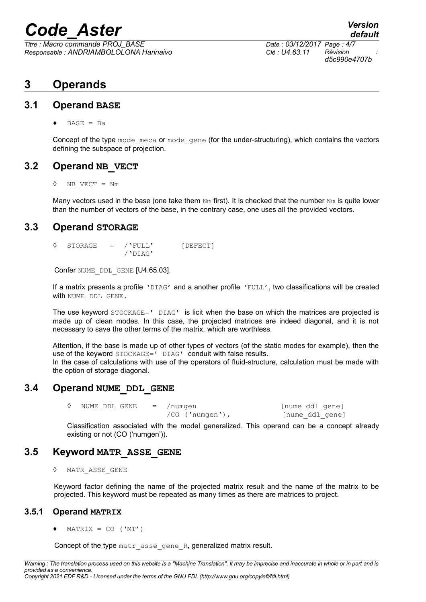*Titre : Macro commande PROJ\_BASE Date : 03/12/2017 Page : 4/7 Responsable : ANDRIAMBOLOLONA Harinaivo Clé : U4.63.11 Révision :*

*default d5c990e4707b*

### <span id="page-3-6"></span>**3 Operands**

#### **3.1 Operand BASE**

<span id="page-3-5"></span> $BASE = Ba$ 

Concept of the type mode meca or mode gene (for the under-structuring), which contains the vectors defining the subspace of projection.

#### **3.2 Operand NB\_VECT**

<span id="page-3-4"></span>◊ NB\_VECT = Nm

Many vectors used in the base (one take them  $Nm$  first). It is checked that the number  $Nm$  is quite lower than the number of vectors of the base, in the contrary case, one uses all the provided vectors.

#### **3.3 Operand STORAGE**

<span id="page-3-3"></span>◊ STORAGE = /'FULL' [DEFECT]  $/$ 'DIAG'

Confer NUME DDL GENE [U4.65.03].

If a matrix presents a profile 'DIAG' and a another profile 'FULL', two classifications will be created with NUME DDL GENE.

The use keyword STOCKAGE=' DIAG' is licit when the base on which the matrices are projected is made up of clean modes. In this case, the projected matrices are indeed diagonal, and it is not necessary to save the other terms of the matrix, which are worthless.

Attention, if the base is made up of other types of vectors (of the static modes for example), then the use of the keyword STOCKAGE=' DIAG' conduit with false results. In the case of calculations with use of the operators of fluid-structure, calculation must be made with the option of storage diagonal.

#### **3.4 Operand NUME\_DDL\_GENE**

<span id="page-3-2"></span>◊ NUME\_DDL\_GENE = /numgen [nume\_ddl\_gene]

```
/CO ('numgen'), [nume_ddl_gene]
```
Classification associated with the model generalized. This operand can be a concept already existing or not (CO ('numgen')).

#### **3.5 Keyword MATR\_ASSE\_GENE**

<span id="page-3-1"></span>◊ MATR\_ASSE\_GENE

Keyword factor defining the name of the projected matrix result and the name of the matrix to be projected. This keyword must be repeated as many times as there are matrices to project.

#### **3.5.1 Operand MATRIX**

<span id="page-3-0"></span> $MATRIX = CO ('MT')$ 

Concept of the type matr asse gene R, generalized matrix result.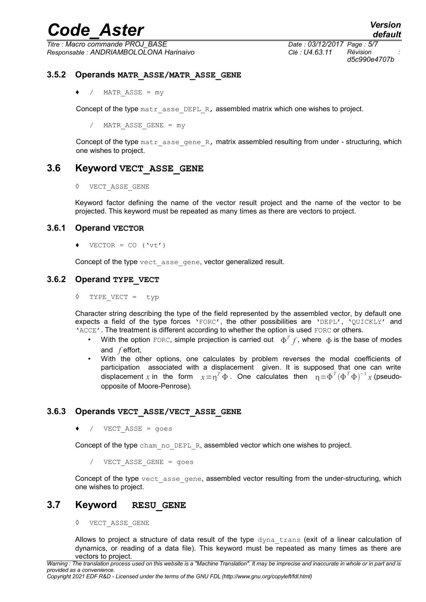$T$ itre : Macro commande PROJ\_BASE *Responsable : ANDRIAMBOLOLONA Harinaivo Clé : U4.63.11 Révision :*

*d5c990e4707b*

#### **3.5.2 Operands MATR\_ASSE/MATR\_ASSE\_GENE**

<span id="page-4-5"></span> $\bullet$  / MATR ASSE = my

Concept of the type  $\text{matr}$  asse DEPL R, assembled matrix which one wishes to project.

/ MATR\_ASSE\_GENE = my

Concept of the type  $\text{matr}$  asse gene R, matrix assembled resulting from under - structuring, which one wishes to project.

#### **3.6 Keyword VECT\_ASSE\_GENE**

<span id="page-4-4"></span>◊ VECT\_ASSE\_GENE

Keyword factor defining the name of the vector result project and the name of the vector to be projected. This keyword must be repeated as many times as there are vectors to project.

#### **3.6.1 Operand VECTOR**

<span id="page-4-3"></span> $\blacklozenge$  VECTOR = CO ('vt')

<span id="page-4-2"></span>Concept of the type vect asse gene, vector generalized result.

#### **3.6.2 Operand TYPE\_VECT**

◊ TYPE\_VECT = typ

Character string describing the type of the field represented by the assembled vector, by default one expects a field of the type forces 'FORC', the other possibilities are 'DEPL', 'QUICKLY' and 'ACCE'. The treatment is different according to whether the option is used FORC or others.

- With the option FORC, simple projection is carried out  $\Phi^T f$ , where  $\,\Phi$  is the base of modes and *f* effort,
- With the other options, one calculates by problem reverses the modal coefficients of participation associated with a displacement given. It is supposed that one can write displacement x in the form  $x = \eta^T \Phi$ . One calculates then  $\eta = \Phi^T (\Phi^T \Phi)^{-1} x$  (pseudoopposite of Moore-Penrose).

#### **3.6.3 Operands VECT\_ASSE/VECT\_ASSE\_GENE**

<span id="page-4-1"></span> $\bullet$  / VECT ASSE = goes

Concept of the type cham no DEPL R, assembled vector which one wishes to project.

/ VECT\_ASSE\_GENE = goes

Concept of the type vect asse gene, assembled vector resulting from the under-structuring, which one wishes to project.

#### **3.7 Keyword RESU\_GENE**

<span id="page-4-0"></span>◊ VECT\_ASSE\_GENE

Allows to project a structure of data result of the type dyna trans (exit of a linear calculation of dynamics, or reading of a data file). This keyword must be repeated as many times as there are vectors to project.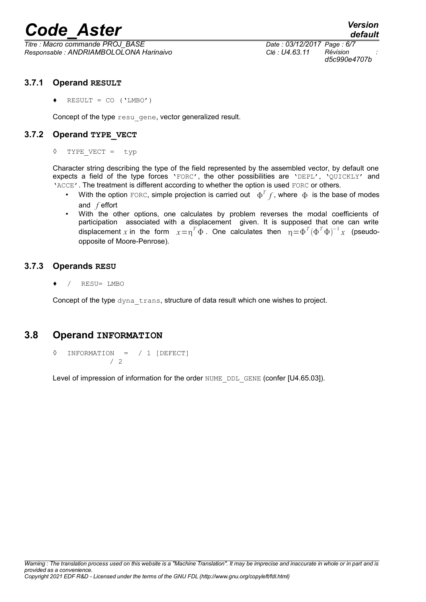*Titre : Macro commande PROJ\_BASE Date : 03/12/2017 Page : 6/7 Responsable : ANDRIAMBOLOLONA Harinaivo Clé : U4.63.11 Révision :*

*d5c990e4707b*

#### **3.7.1 Operand RESULT**

<span id="page-5-3"></span> $\triangleleft$  RESULT = CO ('LMBO')

<span id="page-5-2"></span>Concept of the type resu gene, vector generalized result.

#### **3.7.2 Operand TYPE\_VECT**

◊ TYPE\_VECT = typ

Character string describing the type of the field represented by the assembled vector, by default one expects a field of the type forces 'FORC', the other possibilities are 'DEPL', 'QUICKLY' and 'ACCE'. The treatment is different according to whether the option is used FORC or others.

- With the option  $_{\rm FORC}$ , simple projection is carried out  $\Phi^Tf$ , where  $\,\Phi\,$  is the base of modes and *f* effort
- With the other options, one calculates by problem reverses the modal coefficients of participation associated with a displacement given. It is supposed that one can write displacement x in the form  $x = \eta^T \Phi$ . One calculates then  $\eta = \Phi^T (\Phi^T \Phi)^{-1} x$  (pseudoopposite of Moore-Penrose).

#### **3.7.3 Operands RESU**

<span id="page-5-1"></span>♦ / RESU= LMBO

Concept of the type dyna trans, structure of data result which one wishes to project.

#### **3.8 Operand INFORMATION**

<span id="page-5-0"></span>◊ INFORMATION = / 1 [DEFECT] / 2

Level of impression of information for the order NUME DDL GENE (confer [U4.65.03]).